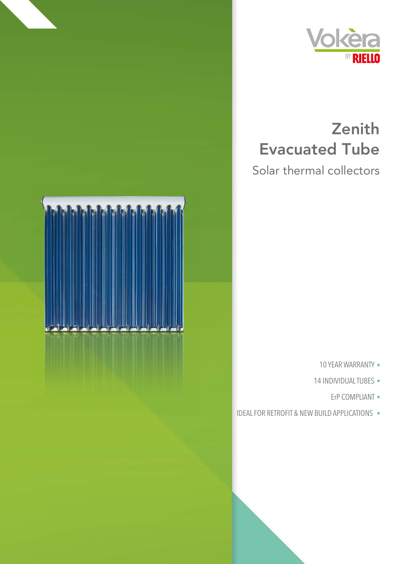

## Zenith **Evacuated Tube**

Solar thermal collectors



- 10 YEAR WARRANTY .
- 14 INDIVIDUALTUBES -
	- ErP COMPLIANT -
- IDEAL FOR RETROFIT & NEW BUILD APPLICATIONS -